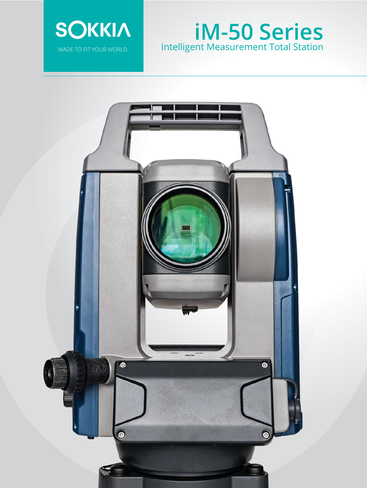

# **iM-50 Series** Intelligent Measurement Total Station

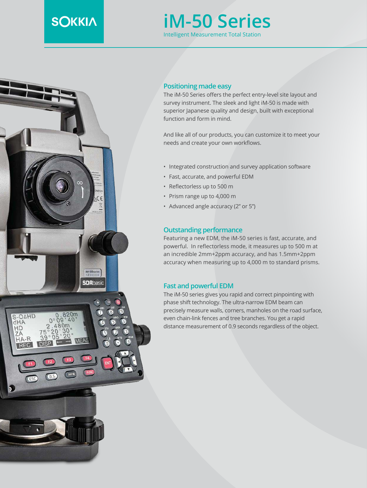## **SOKKIA**

### **iM-50 Series** Intelligent Measurement Total Station



#### **Positioning made easy**

The iM-50 Series offers the perfect entry-level site layout and survey instrument. The sleek and light iM-50 is made with superior Japanese quality and design, built with exceptional function and form in mind.

And like all of our products, you can customize it to meet your needs and create your own workflows.

- Integrated construction and survey application software
- Fast, accurate, and powerful EDM
- Reflectorless up to 500 m
- Prism range up to 4,000 m
- Advanced angle accuracy (2" or 5")

#### **Outstanding performance**

Featuring a new EDM, the iM-50 series is fast, accurate, and powerful. In reflectorless mode, it measures up to 500 m at an incredible 2mm+2ppm accuracy, and has 1.5mm+2ppm accuracy when measuring up to 4,000 m to standard prisms.

#### **Fast and powerful EDM**

The iM-50 series gives you rapid and correct pinpointing with phase shift technology. The ultra-narrow EDM beam can precisely measure walls, corners, manholes on the road surface, even chain-link fences and tree branches. You get a rapid distance measurement of 0.9 seconds regardless of the object.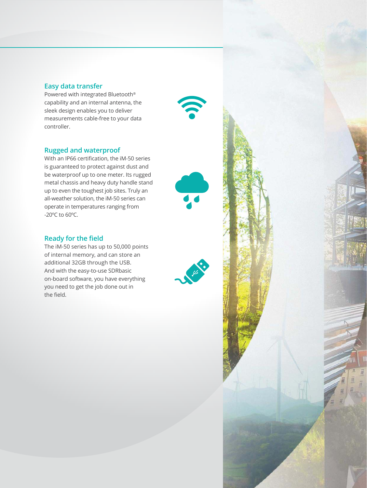#### **Easy data transfer**

Powered with integrated Bluetooth® capability and an internal antenna, the sleek design enables you to deliver measurements cable-free to your data controller.

#### **Rugged and waterproof**

With an IP66 certification, the iM-50 series is guaranteed to protect against dust and be waterproof up to one meter. Its rugged metal chassis and heavy duty handle stand up to even the toughest job sites. Truly an all-weather solution, the iM-50 series can operate in temperatures ranging from -20ºC to 60ºC.

#### **Ready for the field**

The iM-50 series has up to 50,000 points of internal memory, and can store an additional 32GB through the USB. And with the easy-to-use SDRbasic on-board software, you have everything you need to get the job done out in the field.